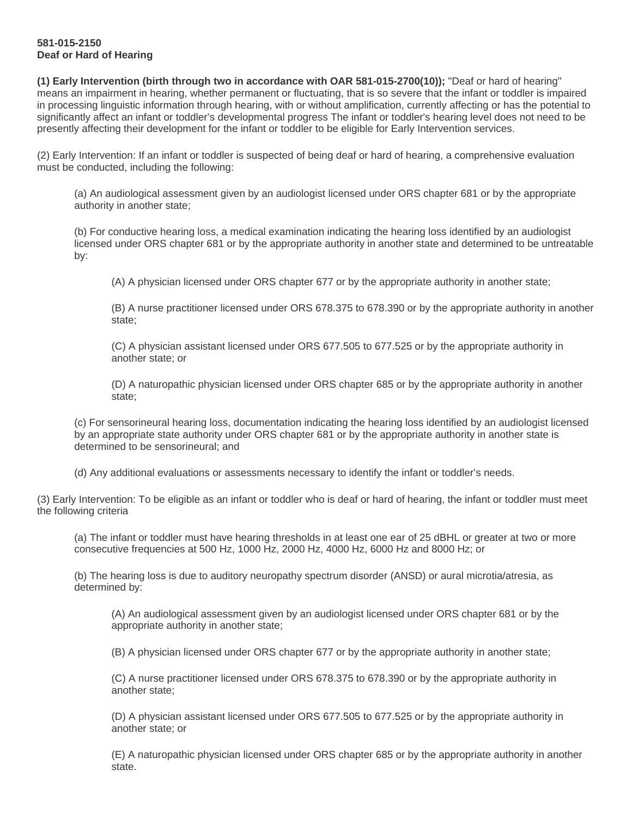## **581-015-2150 Deaf or Hard of Hearing**

**(1) Early Intervention (birth through two in accordance with OAR 581-015-2700(10));** "Deaf or hard of hearing" means an impairment in hearing, whether permanent or fluctuating, that is so severe that the infant or toddler is impaired in processing linguistic information through hearing, with or without amplification, currently affecting or has the potential to significantly affect an infant or toddler's developmental progress The infant or toddler's hearing level does not need to be presently affecting their development for the infant or toddler to be eligible for Early Intervention services.

(2) Early Intervention: If an infant or toddler is suspected of being deaf or hard of hearing, a comprehensive evaluation must be conducted, including the following:

(a) An audiological assessment given by an audiologist licensed under ORS chapter 681 or by the appropriate authority in another state;

(b) For conductive hearing loss, a medical examination indicating the hearing loss identified by an audiologist licensed under ORS chapter 681 or by the appropriate authority in another state and determined to be untreatable by:

(A) A physician licensed under ORS chapter 677 or by the appropriate authority in another state;

(B) A nurse practitioner licensed under ORS 678.375 to 678.390 or by the appropriate authority in another state;

(C) A physician assistant licensed under ORS 677.505 to 677.525 or by the appropriate authority in another state; or

(D) A naturopathic physician licensed under ORS chapter 685 or by the appropriate authority in another state;

(c) For sensorineural hearing loss, documentation indicating the hearing loss identified by an audiologist licensed by an appropriate state authority under ORS chapter 681 or by the appropriate authority in another state is determined to be sensorineural; and

(d) Any additional evaluations or assessments necessary to identify the infant or toddler's needs.

(3) Early Intervention: To be eligible as an infant or toddler who is deaf or hard of hearing, the infant or toddler must meet the following criteria

(a) The infant or toddler must have hearing thresholds in at least one ear of 25 dBHL or greater at two or more consecutive frequencies at 500 Hz, 1000 Hz, 2000 Hz, 4000 Hz, 6000 Hz and 8000 Hz; or

(b) The hearing loss is due to auditory neuropathy spectrum disorder (ANSD) or aural microtia/atresia, as determined by:

(A) An audiological assessment given by an audiologist licensed under ORS chapter 681 or by the appropriate authority in another state;

(B) A physician licensed under ORS chapter 677 or by the appropriate authority in another state;

(C) A nurse practitioner licensed under ORS 678.375 to 678.390 or by the appropriate authority in another state;

(D) A physician assistant licensed under ORS 677.505 to 677.525 or by the appropriate authority in another state; or

(E) A naturopathic physician licensed under ORS chapter 685 or by the appropriate authority in another state.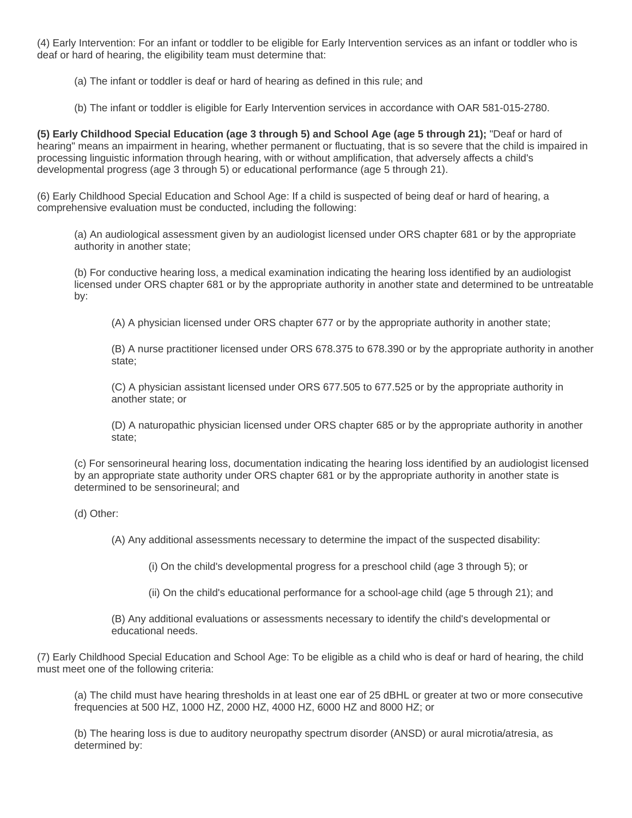(4) Early Intervention: For an infant or toddler to be eligible for Early Intervention services as an infant or toddler who is deaf or hard of hearing, the eligibility team must determine that:

(a) The infant or toddler is deaf or hard of hearing as defined in this rule; and

(b) The infant or toddler is eligible for Early Intervention services in accordance with OAR 581-015-2780.

**(5) Early Childhood Special Education (age 3 through 5) and School Age (age 5 through 21);** "Deaf or hard of hearing" means an impairment in hearing, whether permanent or fluctuating, that is so severe that the child is impaired in processing linguistic information through hearing, with or without amplification, that adversely affects a child's developmental progress (age 3 through 5) or educational performance (age 5 through 21).

(6) Early Childhood Special Education and School Age: If a child is suspected of being deaf or hard of hearing, a comprehensive evaluation must be conducted, including the following:

(a) An audiological assessment given by an audiologist licensed under ORS chapter 681 or by the appropriate authority in another state;

(b) For conductive hearing loss, a medical examination indicating the hearing loss identified by an audiologist licensed under ORS chapter 681 or by the appropriate authority in another state and determined to be untreatable by:

(A) A physician licensed under ORS chapter 677 or by the appropriate authority in another state;

(B) A nurse practitioner licensed under ORS 678.375 to 678.390 or by the appropriate authority in another state;

(C) A physician assistant licensed under ORS 677.505 to 677.525 or by the appropriate authority in another state; or

(D) A naturopathic physician licensed under ORS chapter 685 or by the appropriate authority in another state;

(c) For sensorineural hearing loss, documentation indicating the hearing loss identified by an audiologist licensed by an appropriate state authority under ORS chapter 681 or by the appropriate authority in another state is determined to be sensorineural; and

(d) Other:

(A) Any additional assessments necessary to determine the impact of the suspected disability:

(i) On the child's developmental progress for a preschool child (age 3 through 5); or

(ii) On the child's educational performance for a school-age child (age 5 through 21); and

(B) Any additional evaluations or assessments necessary to identify the child's developmental or educational needs.

(7) Early Childhood Special Education and School Age: To be eligible as a child who is deaf or hard of hearing, the child must meet one of the following criteria:

(a) The child must have hearing thresholds in at least one ear of 25 dBHL or greater at two or more consecutive frequencies at 500 HZ, 1000 HZ, 2000 HZ, 4000 HZ, 6000 HZ and 8000 HZ; or

(b) The hearing loss is due to auditory neuropathy spectrum disorder (ANSD) or aural microtia/atresia, as determined by: